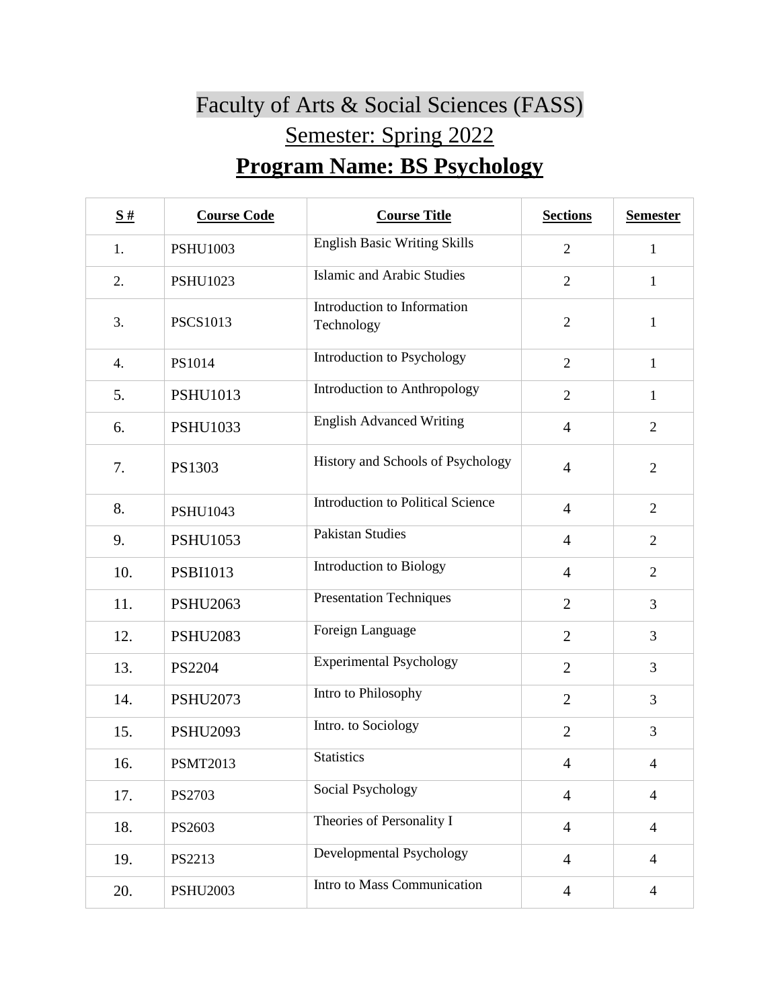## Faculty of Arts & Social Sciences (FASS) Semester: Spring 2022 **Program Name: BS Psychology**

| S#  | <b>Course Code</b> | <b>Course Title</b>                       | <b>Sections</b> | <b>Semester</b> |
|-----|--------------------|-------------------------------------------|-----------------|-----------------|
| 1.  | <b>PSHU1003</b>    | <b>English Basic Writing Skills</b>       | $\overline{2}$  | $\mathbf{1}$    |
| 2.  | <b>PSHU1023</b>    | <b>Islamic and Arabic Studies</b>         | $\overline{2}$  | $\mathbf{1}$    |
| 3.  | <b>PSCS1013</b>    | Introduction to Information<br>Technology | $\overline{2}$  | $\mathbf{1}$    |
| 4.  | PS1014             | Introduction to Psychology                | $\overline{2}$  | $\mathbf{1}$    |
| 5.  | <b>PSHU1013</b>    | Introduction to Anthropology              | $\overline{2}$  | $\mathbf{1}$    |
| 6.  | <b>PSHU1033</b>    | <b>English Advanced Writing</b>           | $\overline{4}$  | $\overline{2}$  |
| 7.  | PS1303             | History and Schools of Psychology         | $\overline{4}$  | $\overline{2}$  |
| 8.  | <b>PSHU1043</b>    | <b>Introduction to Political Science</b>  | $\overline{4}$  | $\overline{2}$  |
| 9.  | <b>PSHU1053</b>    | <b>Pakistan Studies</b>                   | $\overline{4}$  | $\overline{2}$  |
| 10. | <b>PSBI1013</b>    | Introduction to Biology                   | $\overline{4}$  | $\overline{2}$  |
| 11. | <b>PSHU2063</b>    | <b>Presentation Techniques</b>            | $\overline{2}$  | $\overline{3}$  |
| 12. | <b>PSHU2083</b>    | Foreign Language                          | $\overline{2}$  | $\mathfrak{Z}$  |
| 13. | PS2204             | <b>Experimental Psychology</b>            | $\overline{2}$  | 3               |
| 14. | <b>PSHU2073</b>    | Intro to Philosophy                       | $\overline{2}$  | 3               |
| 15. | <b>PSHU2093</b>    | Intro. to Sociology                       | $\overline{2}$  | 3               |
| 16. | <b>PSMT2013</b>    | <b>Statistics</b>                         | $\overline{4}$  | $\overline{4}$  |
| 17. | PS2703             | Social Psychology                         | $\overline{4}$  | $\overline{4}$  |
| 18. | PS2603             | Theories of Personality I                 | $\overline{4}$  | $\overline{4}$  |
| 19. | PS2213             | Developmental Psychology                  | $\overline{4}$  | $\overline{4}$  |
| 20. | <b>PSHU2003</b>    | Intro to Mass Communication               | $\overline{4}$  | $\overline{4}$  |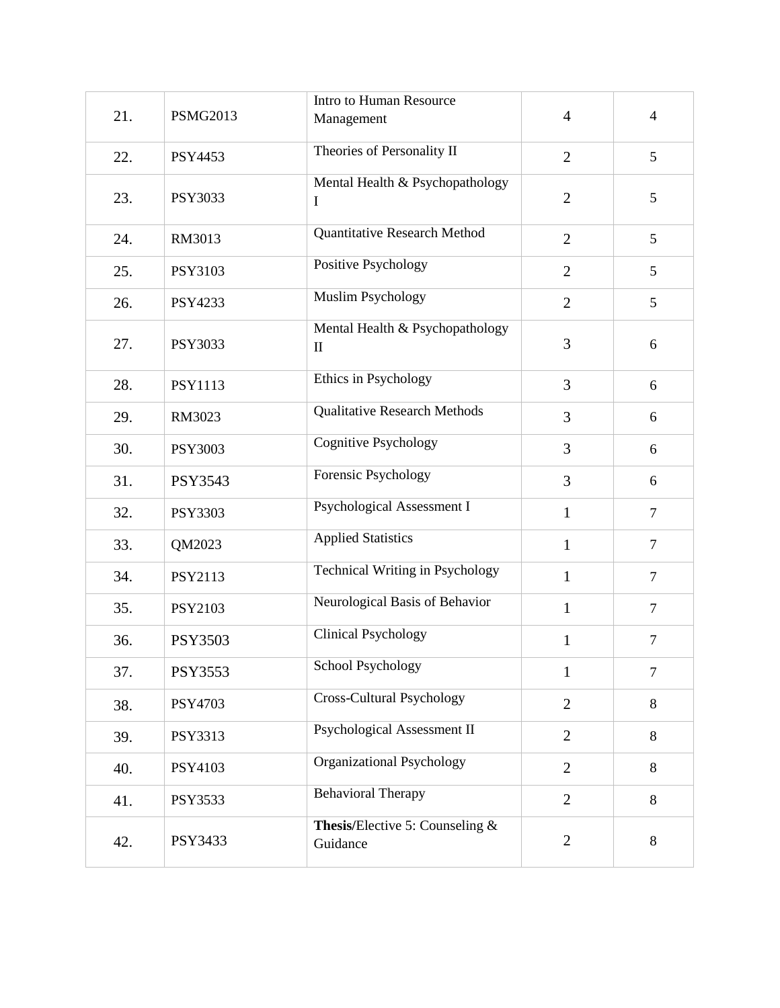|     |                 | Intro to Human Resource                         |                |                |
|-----|-----------------|-------------------------------------------------|----------------|----------------|
| 21. | <b>PSMG2013</b> | Management                                      | $\overline{4}$ | $\overline{4}$ |
| 22. | PSY4453         | Theories of Personality II                      | $\overline{2}$ | 5              |
| 23. | PSY3033         | Mental Health & Psychopathology<br>I            | $\overline{2}$ | 5              |
| 24. | RM3013          | <b>Quantitative Research Method</b>             | $\overline{2}$ | 5              |
| 25. | PSY3103         | Positive Psychology                             | $\overline{2}$ | 5              |
| 26. | PSY4233         | <b>Muslim Psychology</b>                        | $\overline{2}$ | 5              |
| 27. | PSY3033         | Mental Health & Psychopathology<br>$\mathbf{I}$ | 3              | 6              |
| 28. | <b>PSY1113</b>  | Ethics in Psychology                            | 3              | 6              |
| 29. | RM3023          | <b>Qualitative Research Methods</b>             | 3              | 6              |
| 30. | <b>PSY3003</b>  | <b>Cognitive Psychology</b>                     | 3              | 6              |
| 31. | PSY3543         | Forensic Psychology                             | 3              | 6              |
| 32. | <b>PSY3303</b>  | Psychological Assessment I                      | $\mathbf{1}$   | $\tau$         |
| 33. | QM2023          | <b>Applied Statistics</b>                       | $\mathbf{1}$   | $\tau$         |
| 34. | PSY2113         | Technical Writing in Psychology                 | $\mathbf{1}$   | $\tau$         |
| 35. | PSY2103         | Neurological Basis of Behavior                  | $\mathbf{1}$   | $\tau$         |
| 36. | <b>PSY3503</b>  | <b>Clinical Psychology</b>                      | $\mathbf{1}$   | $\tau$         |
| 37. | PSY3553         | <b>School Psychology</b>                        | 1              | $\tau$         |
| 38. | PSY4703         | Cross-Cultural Psychology                       | $\overline{2}$ | 8              |
| 39. | PSY3313         | Psychological Assessment II                     | $\overline{2}$ | 8              |
| 40. | PSY4103         | Organizational Psychology                       | $\overline{2}$ | 8              |
| 41. | PSY3533         | <b>Behavioral Therapy</b>                       | $\overline{2}$ | 8              |
| 42. | PSY3433         | Thesis/Elective 5: Counseling &<br>Guidance     | $\overline{2}$ | 8              |